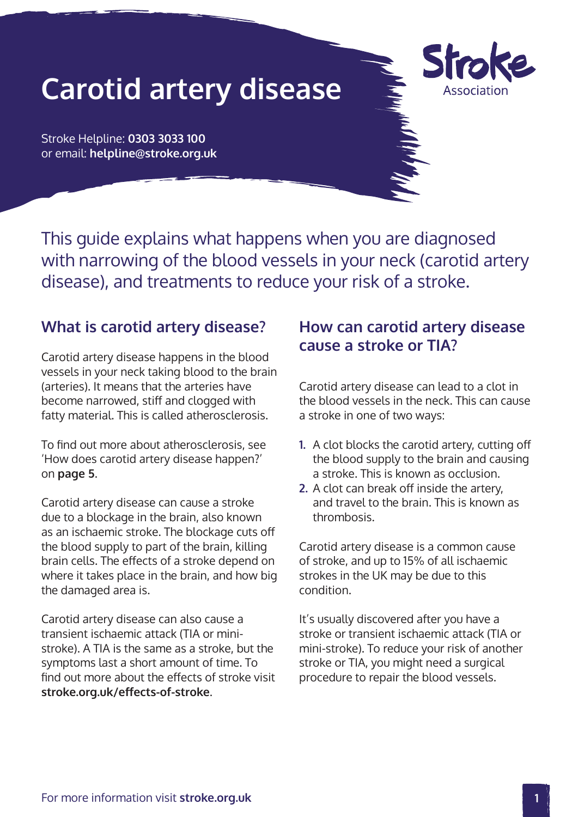# **Carotid artery disease**



Stroke Helpline: **0303 3033 100** or email: **helpline@stroke.org.uk**

This guide explains what happens when you are diagnosed with narrowing of the blood vessels in your neck (carotid artery disease), and treatments to reduce your risk of a stroke.

# **What is carotid artery disease?**

Carotid artery disease happens in the blood vessels in your neck taking blood to the brain (arteries). It means that the arteries have become narrowed, stiff and clogged with fatty material. This is called atherosclerosis.

To find out more about atherosclerosis, see 'How does carotid artery disease happen?' on **page 5**.

Carotid artery disease can cause a stroke due to a blockage in the brain, also known as an ischaemic stroke. The blockage cuts off the blood supply to part of the brain, killing brain cells. The effects of a stroke depend on where it takes place in the brain, and how big the damaged area is.

Carotid artery disease can also cause a transient ischaemic attack (TIA or ministroke). A TIA is the same as a stroke, but the symptoms last a short amount of time. To find out more about the effects of stroke visit **[stroke.org.uk/effects-of-stroke](http://www.stroke.org.uk/effects-of-stroke)**.

# **How can carotid artery disease cause a stroke or TIA?**

Carotid artery disease can lead to a clot in the blood vessels in the neck. This can cause a stroke in one of two ways:

- **1.** A clot blocks the carotid artery, cutting off the blood supply to the brain and causing a stroke. This is known as occlusion.
- **2.** A clot can break off inside the artery, and travel to the brain. This is known as thrombosis.

Carotid artery disease is a common cause of stroke, and up to 15% of all ischaemic strokes in the UK may be due to this condition.

It's usually discovered after you have a stroke or transient ischaemic attack (TIA or mini-stroke). To reduce your risk of another stroke or TIA, you might need a surgical procedure to repair the blood vessels.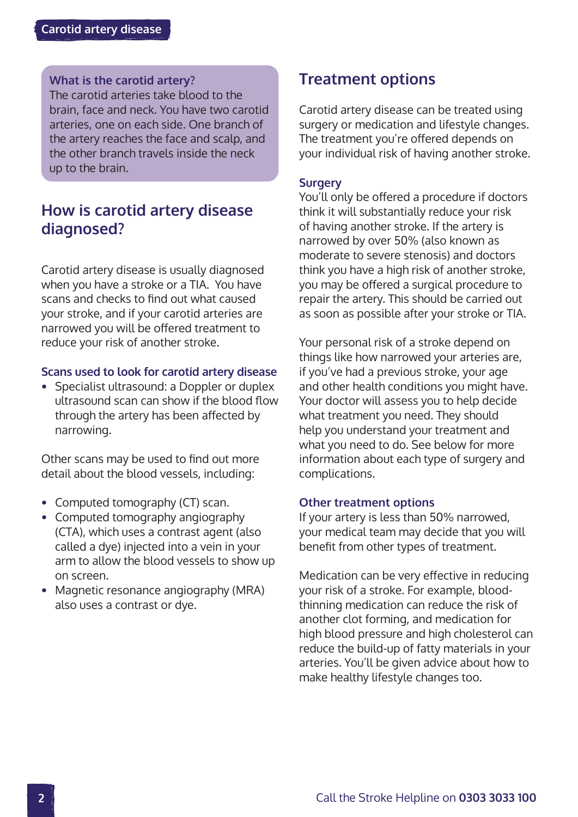#### **What is the carotid artery?**

The carotid arteries take blood to the brain, face and neck. You have two carotid arteries, one on each side. One branch of the artery reaches the face and scalp, and the other branch travels inside the neck up to the brain.

## **How is carotid artery disease diagnosed?**

Carotid artery disease is usually diagnosed when you have a stroke or a TIA. You have scans and checks to find out what caused your stroke, and if your carotid arteries are narrowed you will be offered treatment to reduce your risk of another stroke.

#### **Scans used to look for carotid artery disease**

**•** Specialist ultrasound: a Doppler or duplex ultrasound scan can show if the blood flow through the artery has been affected by narrowing.

Other scans may be used to find out more detail about the blood vessels, including:

- **•** Computed tomography (CT) scan.
- **•** Computed tomography angiography (CTA), which uses a contrast agent (also called a dye) injected into a vein in your arm to allow the blood vessels to show up on screen.
- **•** Magnetic resonance angiography (MRA) also uses a contrast or dye.

## **Treatment options**

Carotid artery disease can be treated using surgery or medication and lifestyle changes. The treatment you're offered depends on your individual risk of having another stroke.

#### **Surgery**

You'll only be offered a procedure if doctors think it will substantially reduce your risk of having another stroke. If the artery is narrowed by over 50% (also known as moderate to severe stenosis) and doctors think you have a high risk of another stroke, you may be offered a surgical procedure to repair the artery. This should be carried out as soon as possible after your stroke or TIA.

Your personal risk of a stroke depend on things like how narrowed your arteries are, if you've had a previous stroke, your age and other health conditions you might have. Your doctor will assess you to help decide what treatment you need. They should help you understand your treatment and what you need to do. See below for more information about each type of surgery and complications.

#### **Other treatment options**

If your artery is less than 50% narrowed, your medical team may decide that you will benefit from other types of treatment.

Medication can be very effective in reducing your risk of a stroke. For example, bloodthinning medication can reduce the risk of another clot forming, and medication for high blood pressure and high cholesterol can reduce the build-up of fatty materials in your arteries. You'll be given advice about how to make healthy lifestyle changes too.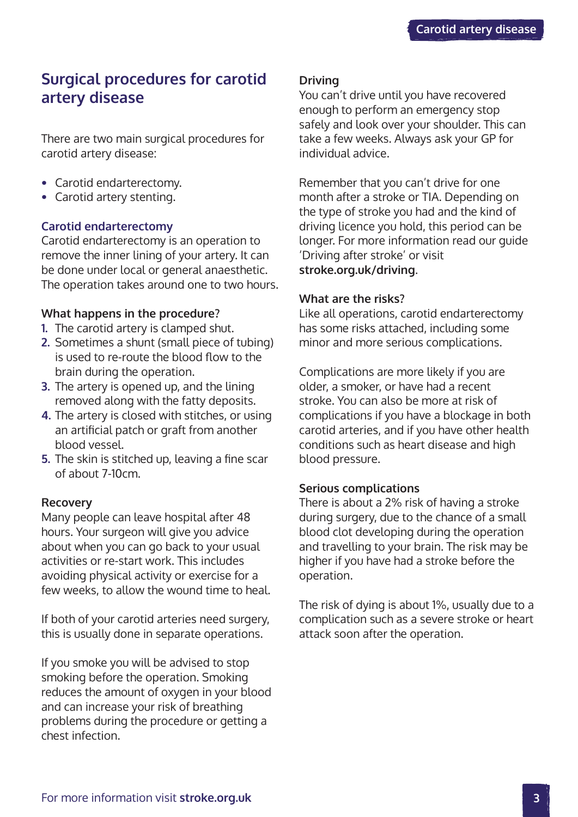# **Surgical procedures for carotid artery disease**

There are two main surgical procedures for carotid artery disease:

- **•** Carotid endarterectomy.
- **•** Carotid artery stenting.

## **Carotid endarterectomy**

Carotid endarterectomy is an operation to remove the inner lining of your artery. It can be done under local or general anaesthetic. The operation takes around one to two hours.

## **What happens in the procedure?**

- **1.** The carotid artery is clamped shut.
- **2.** Sometimes a shunt (small piece of tubing) is used to re-route the blood flow to the brain during the operation.
- **3.** The artery is opened up, and the lining removed along with the fatty deposits.
- **4.** The artery is closed with stitches, or using an artificial patch or graft from another blood vessel.
- **5.** The skin is stitched up, leaving a fine scar of about 7-10cm.

#### **Recovery**

Many people can leave hospital after 48 hours. Your surgeon will give you advice about when you can go back to your usual activities or re-start work. This includes avoiding physical activity or exercise for a few weeks, to allow the wound time to heal.

If both of your carotid arteries need surgery, this is usually done in separate operations.

If you smoke you will be advised to stop smoking before the operation. Smoking reduces the amount of oxygen in your blood and can increase your risk of breathing problems during the procedure or getting a chest infection.

## **Driving**

You can't drive until you have recovered enough to perform an emergency stop safely and look over your shoulder. This can take a few weeks. Always ask your GP for individual advice.

Remember that you can't drive for one month after a stroke or TIA. Depending on the type of stroke you had and the kind of driving licence you hold, this period can be longer. For more information read our guide 'Driving after stroke' or visit **[stroke.org.uk/driving](http://www.stroke.org.uk/driving)**.

#### **What are the risks?**

Like all operations, carotid endarterectomy has some risks attached, including some minor and more serious complications.

Complications are more likely if you are older, a smoker, or have had a recent stroke. You can also be more at risk of complications if you have a blockage in both carotid arteries, and if you have other health conditions such as heart disease and high blood pressure.

#### **Serious complications**

There is about a 2% risk of having a stroke during surgery, due to the chance of a small blood clot developing during the operation and travelling to your brain. The risk may be higher if you have had a stroke before the operation.

The risk of dying is about 1%, usually due to a complication such as a severe stroke or heart attack soon after the operation.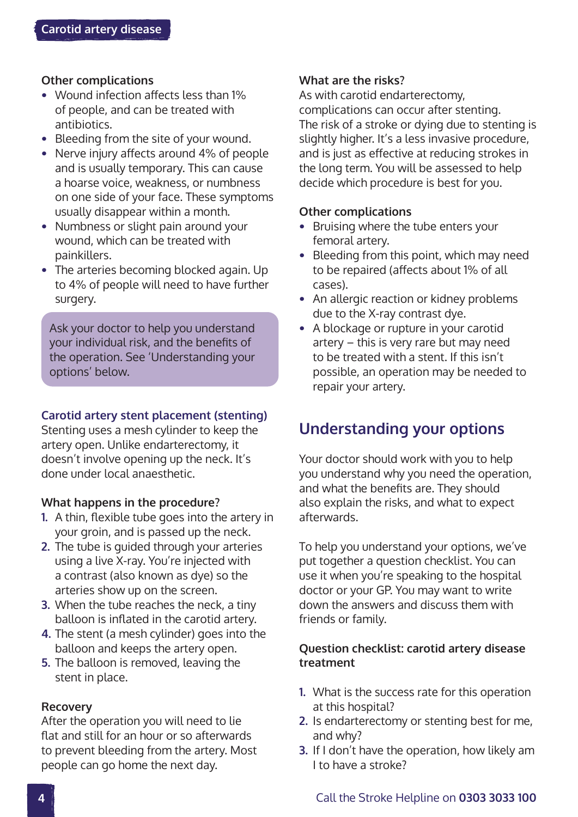## **Other complications**

- **•** Wound infection affects less than 1% of people, and can be treated with antibiotics.
- **•** Bleeding from the site of your wound.
- **•** Nerve injury affects around 4% of people and is usually temporary. This can cause a hoarse voice, weakness, or numbness on one side of your face. These symptoms usually disappear within a month.
- **•** Numbness or slight pain around your wound, which can be treated with painkillers.
- **•** The arteries becoming blocked again. Up to 4% of people will need to have further surgery.

Ask your doctor to help you understand your individual risk, and the benefits of the operation. See 'Understanding your options' below.

## **Carotid artery stent placement (stenting)**

Stenting uses a mesh cylinder to keep the artery open. Unlike endarterectomy, it doesn't involve opening up the neck. It's done under local anaesthetic.

#### **What happens in the procedure?**

- **1.** A thin, flexible tube goes into the artery in your groin, and is passed up the neck.
- **2.** The tube is guided through your arteries using a live X-ray. You're injected with a contrast (also known as dye) so the arteries show up on the screen.
- **3.** When the tube reaches the neck, a tiny balloon is inflated in the carotid artery.
- **4.** The stent (a mesh cylinder) goes into the balloon and keeps the artery open.
- **5.** The balloon is removed, leaving the stent in place.

#### **Recovery**

After the operation you will need to lie flat and still for an hour or so afterwards to prevent bleeding from the artery. Most people can go home the next day.

## **What are the risks?**

As with carotid endarterectomy, complications can occur after stenting. The risk of a stroke or dying due to stenting is slightly higher. It's a less invasive procedure, and is just as effective at reducing strokes in the long term. You will be assessed to help decide which procedure is best for you.

#### **Other complications**

- **•** Bruising where the tube enters your femoral artery.
- **•** Bleeding from this point, which may need to be repaired (affects about 1% of all cases).
- **•** An allergic reaction or kidney problems due to the X-ray contrast dye.
- **•** A blockage or rupture in your carotid artery – this is very rare but may need to be treated with a stent. If this isn't possible, an operation may be needed to repair your artery.

# **Understanding your options**

Your doctor should work with you to help you understand why you need the operation, and what the benefits are. They should also explain the risks, and what to expect afterwards.

To help you understand your options, we've put together a question checklist. You can use it when you're speaking to the hospital doctor or your GP. You may want to write down the answers and discuss them with friends or family.

## **Question checklist: carotid artery disease treatment**

- **1.** What is the success rate for this operation at this hospital?
- **2.** Is endarterectomy or stenting best for me, and why?
- **3.** If I don't have the operation, how likely am I to have a stroke?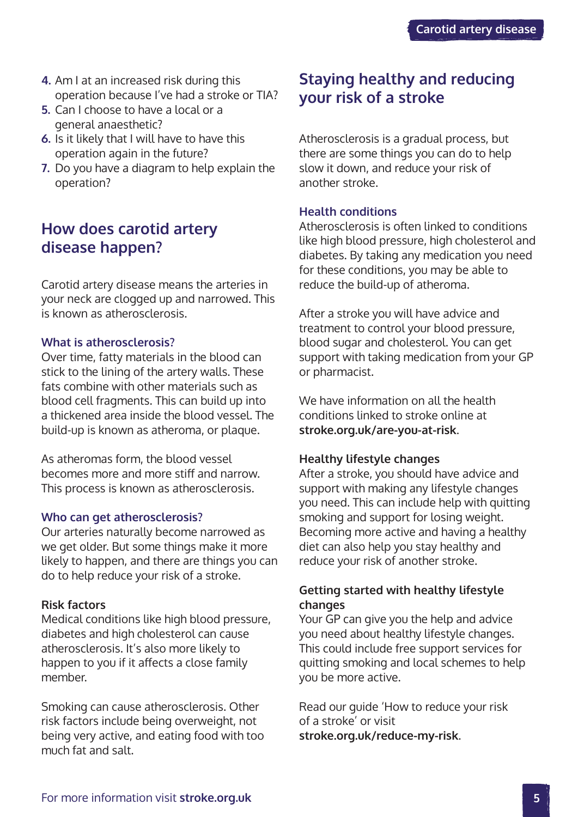- **4.** Am I at an increased risk during this operation because I've had a stroke or TIA?
- **5.** Can I choose to have a local or a general anaesthetic?
- **6.** Is it likely that I will have to have this operation again in the future?
- **7.** Do you have a diagram to help explain the operation?

# **How does carotid artery disease happen?**

Carotid artery disease means the arteries in your neck are clogged up and narrowed. This is known as atherosclerosis.

#### **What is atherosclerosis?**

Over time, fatty materials in the blood can stick to the lining of the artery walls. These fats combine with other materials such as blood cell fragments. This can build up into a thickened area inside the blood vessel. The build-up is known as atheroma, or plaque.

As atheromas form, the blood vessel becomes more and more stiff and narrow. This process is known as atherosclerosis.

#### **Who can get atherosclerosis?**

Our arteries naturally become narrowed as we get older. But some things make it more likely to happen, and there are things you can do to help reduce your risk of a stroke.

#### **Risk factors**

Medical conditions like high blood pressure, diabetes and high cholesterol can cause atherosclerosis. It's also more likely to happen to you if it affects a close family member.

Smoking can cause atherosclerosis. Other risk factors include being overweight, not being very active, and eating food with too much fat and salt.

# **Staying healthy and reducing your risk of a stroke**

Atherosclerosis is a gradual process, but there are some things you can do to help slow it down, and reduce your risk of another stroke.

#### **Health conditions**

Atherosclerosis is often linked to conditions like high blood pressure, high cholesterol and diabetes. By taking any medication you need for these conditions, you may be able to reduce the build-up of atheroma.

After a stroke you will have advice and treatment to control your blood pressure, blood sugar and cholesterol. You can get support with taking medication from your GP or pharmacist.

We have information on all the health conditions linked to stroke online at **[stroke.org.uk/are-you-at-risk](http://www.stroke.org.uk/are-you-at-risk)**.

#### **Healthy lifestyle changes**

After a stroke, you should have advice and support with making any lifestyle changes you need. This can include help with quitting smoking and support for losing weight. Becoming more active and having a healthy diet can also help you stay healthy and reduce your risk of another stroke.

## **Getting started with healthy lifestyle changes**

Your GP can give you the help and advice you need about healthy lifestyle changes. This could include free support services for quitting smoking and local schemes to help you be more active.

Read our guide 'How to reduce your risk of a stroke' or visit **[stroke.org.uk/reduce-my-risk](http://www.stroke.org.uk/reduce-risk)**.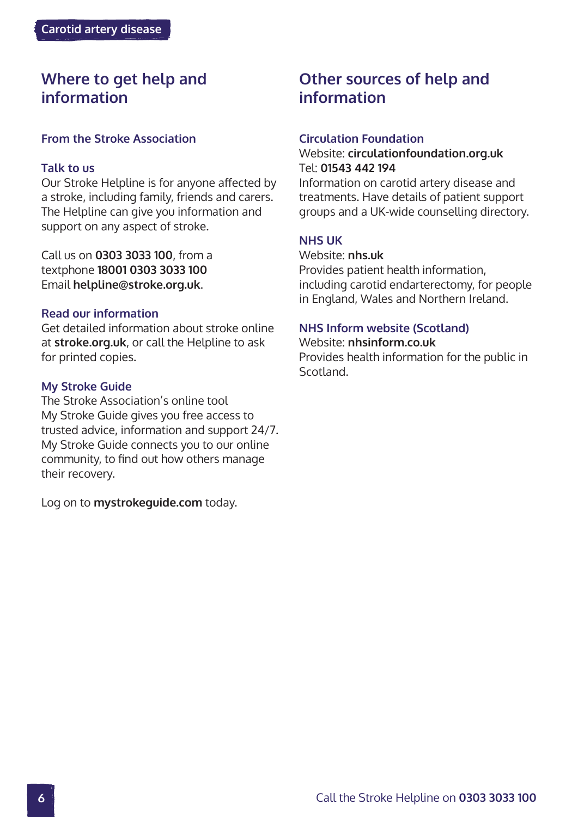# **Where to get help and information**

## **From the Stroke Association**

#### **Talk to us**

Our Stroke Helpline is for anyone affected by a stroke, including family, friends and carers. The Helpline can give you information and support on any aspect of stroke.

Call us on **0303 3033 100**, from a textphone **18001 0303 3033 100** Email **helpline@stroke.org.uk**.

#### **Read our information**

Get detailed information about stroke online at **stroke.org.uk**, or call the Helpline to ask for printed copies.

#### **My Stroke Guide**

The Stroke Association's online tool My Stroke Guide gives you free access to trusted advice, information and support 24/7. My Stroke Guide connects you to our online community, to find out how others manage their recovery.

Log on to **[mystrokeguide.com](http://www.mystrokeguide.com)** today.

# **Other sources of help and information**

#### **Circulation Foundation**

## Website: **[circulationfoundation.org.uk](http://www.circulationfoundation.org.uk)**  Tel: **01543 442 194**

Information on carotid artery disease and treatments. Have details of patient support groups and a UK-wide counselling directory.

## **NHS UK**

Website: **[nhs.uk](http://www.nhs.uk)**  Provides patient health information, including carotid endarterectomy, for people in England, Wales and Northern Ireland.

#### **NHS Inform website (Scotland)**

#### Website: **[nhsinform.co.uk](http://www.nhsinform.co.uk)**

Provides health information for the public in Scotland.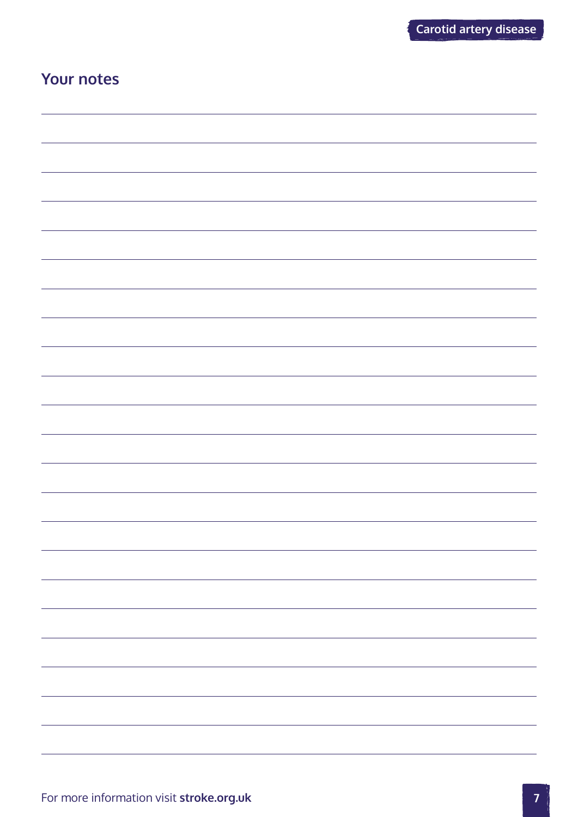# **Your notes**